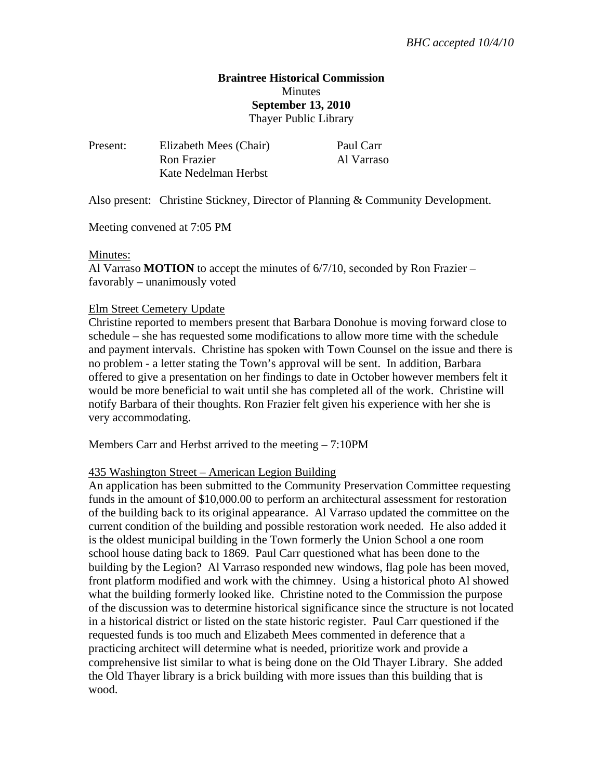### **Braintree Historical Commission Minutes September 13, 2010**  Thayer Public Library

| Present: | Elizabeth Mees (Chair) |
|----------|------------------------|
|          | Ron Frazier            |
|          | Kate Nedelman Herbst   |

Paul Carr Al Varraso

Also present: Christine Stickney, Director of Planning & Community Development.

Meeting convened at 7:05 PM

#### Minutes:

Al Varraso **MOTION** to accept the minutes of 6/7/10, seconded by Ron Frazier – favorably – unanimously voted

#### Elm Street Cemetery Update

Christine reported to members present that Barbara Donohue is moving forward close to schedule – she has requested some modifications to allow more time with the schedule and payment intervals. Christine has spoken with Town Counsel on the issue and there is no problem - a letter stating the Town's approval will be sent. In addition, Barbara offered to give a presentation on her findings to date in October however members felt it would be more beneficial to wait until she has completed all of the work. Christine will notify Barbara of their thoughts. Ron Frazier felt given his experience with her she is very accommodating.

Members Carr and Herbst arrived to the meeting – 7:10PM

#### 435 Washington Street – American Legion Building

An application has been submitted to the Community Preservation Committee requesting funds in the amount of \$10,000.00 to perform an architectural assessment for restoration of the building back to its original appearance. Al Varraso updated the committee on the current condition of the building and possible restoration work needed. He also added it is the oldest municipal building in the Town formerly the Union School a one room school house dating back to 1869. Paul Carr questioned what has been done to the building by the Legion? Al Varraso responded new windows, flag pole has been moved, front platform modified and work with the chimney. Using a historical photo Al showed what the building formerly looked like. Christine noted to the Commission the purpose of the discussion was to determine historical significance since the structure is not located in a historical district or listed on the state historic register. Paul Carr questioned if the requested funds is too much and Elizabeth Mees commented in deference that a practicing architect will determine what is needed, prioritize work and provide a comprehensive list similar to what is being done on the Old Thayer Library. She added the Old Thayer library is a brick building with more issues than this building that is wood.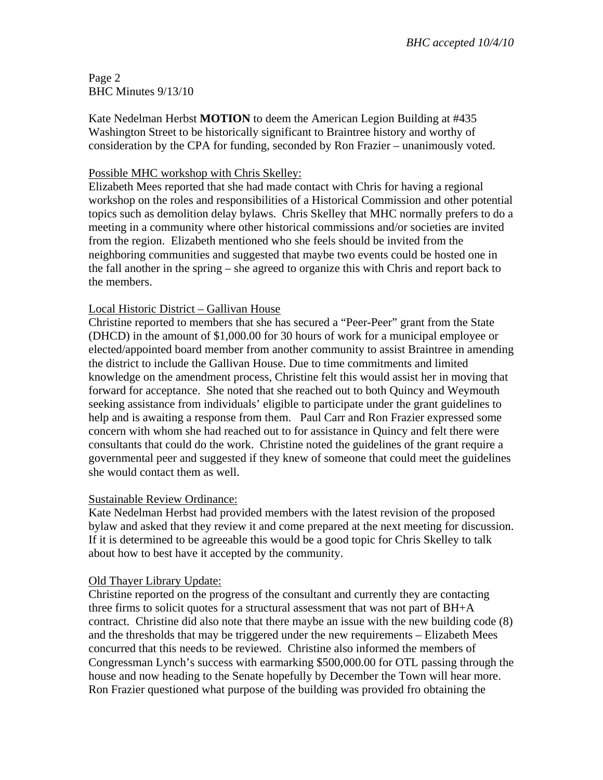Page 2 BHC Minutes 9/13/10

Kate Nedelman Herbst **MOTION** to deem the American Legion Building at #435 Washington Street to be historically significant to Braintree history and worthy of consideration by the CPA for funding, seconded by Ron Frazier – unanimously voted.

## Possible MHC workshop with Chris Skelley:

Elizabeth Mees reported that she had made contact with Chris for having a regional workshop on the roles and responsibilities of a Historical Commission and other potential topics such as demolition delay bylaws. Chris Skelley that MHC normally prefers to do a meeting in a community where other historical commissions and/or societies are invited from the region. Elizabeth mentioned who she feels should be invited from the neighboring communities and suggested that maybe two events could be hosted one in the fall another in the spring – she agreed to organize this with Chris and report back to the members.

### Local Historic District – Gallivan House

Christine reported to members that she has secured a "Peer-Peer" grant from the State (DHCD) in the amount of \$1,000.00 for 30 hours of work for a municipal employee or elected/appointed board member from another community to assist Braintree in amending the district to include the Gallivan House. Due to time commitments and limited knowledge on the amendment process, Christine felt this would assist her in moving that forward for acceptance. She noted that she reached out to both Quincy and Weymouth seeking assistance from individuals' eligible to participate under the grant guidelines to help and is awaiting a response from them. Paul Carr and Ron Frazier expressed some concern with whom she had reached out to for assistance in Quincy and felt there were consultants that could do the work. Christine noted the guidelines of the grant require a governmental peer and suggested if they knew of someone that could meet the guidelines she would contact them as well.

#### Sustainable Review Ordinance:

Kate Nedelman Herbst had provided members with the latest revision of the proposed bylaw and asked that they review it and come prepared at the next meeting for discussion. If it is determined to be agreeable this would be a good topic for Chris Skelley to talk about how to best have it accepted by the community.

#### Old Thayer Library Update:

Christine reported on the progress of the consultant and currently they are contacting three firms to solicit quotes for a structural assessment that was not part of BH+A contract. Christine did also note that there maybe an issue with the new building code (8) and the thresholds that may be triggered under the new requirements – Elizabeth Mees concurred that this needs to be reviewed. Christine also informed the members of Congressman Lynch's success with earmarking \$500,000.00 for OTL passing through the house and now heading to the Senate hopefully by December the Town will hear more. Ron Frazier questioned what purpose of the building was provided fro obtaining the